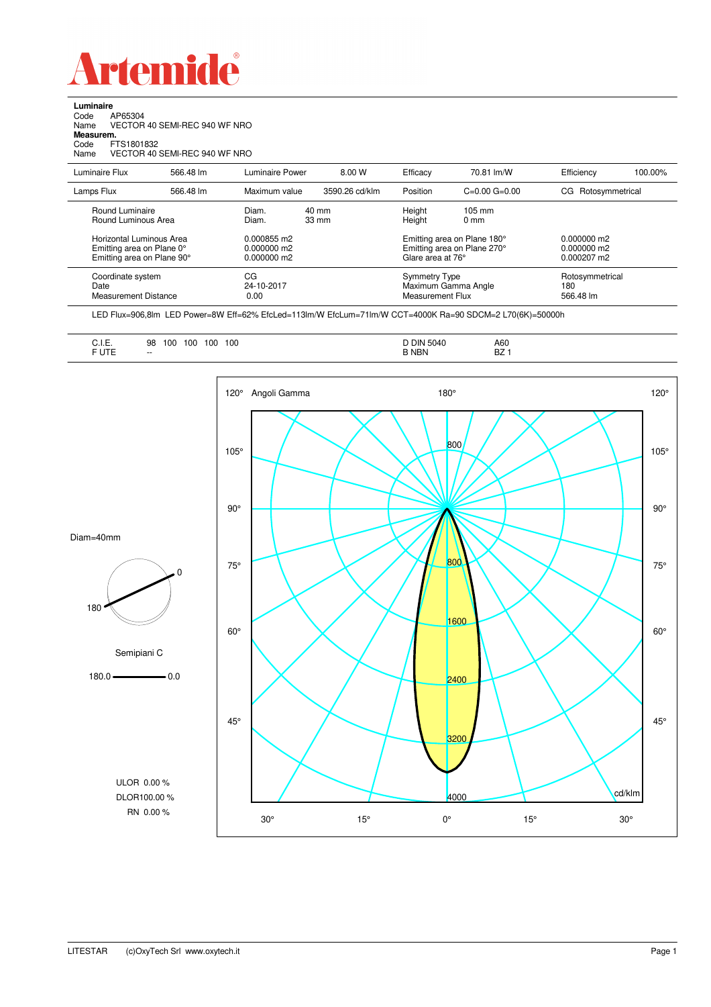

**Luminaire**<br>Code /<br>Name \ Code AP65304 Name VECTOR 40 SEMI-REC 940 WF NRO **Measurem.** Code FTS1801832 Name VECTOR 40 SEMI-REC 940 WF NRO

| Luminaire Flux                                                                                  | 566.48 lm | Luminaire Power                                | 8.00 W                             | Efficacy                          | 70.81 lm/W                                                                                       | Efficiency                          | 100.00% |
|-------------------------------------------------------------------------------------------------|-----------|------------------------------------------------|------------------------------------|-----------------------------------|--------------------------------------------------------------------------------------------------|-------------------------------------|---------|
| Lamps Flux                                                                                      | 566.48 lm | Maximum value                                  | 3590.26 cd/klm                     | Position                          | $C=0.00$ $G=0.00$                                                                                | CG Rotosymmetrical                  |         |
| Round Luminaire<br>Round Luminous Area<br>Horizontal Luminous Area<br>Emitting area on Plane 0° |           | Diam.<br>Diam.<br>0.000855 m2<br>$0.000000$ m2 | $40 \text{ mm}$<br>$33 \text{ mm}$ | Height<br>Height                  | $105 \text{ mm}$<br>$0 \text{ mm}$<br>Emitting area on Plane 180°<br>Emitting area on Plane 270° | $0.000000$ m2<br>$0.000000$ m2      |         |
| Emitting area on Plane 90°                                                                      |           | $0.000000$ m2                                  |                                    | Glare area at 76°                 |                                                                                                  | $0.000207$ m2                       |         |
| Coordinate system<br>Date<br>Measurement Distance                                               |           | CG<br>24-10-2017<br>0.00                       |                                    | Symmetry Type<br>Measurement Flux | Maximum Gamma Angle                                                                              | Rotosymmetrical<br>180<br>566.48 lm |         |

LED Flux=906,8lm LED Power=8W Eff=62% EfcLed=113lm/W EfcLum=71lm/W CCT=4000K Ra=90 SDCM=2 L70(6K)=50000h